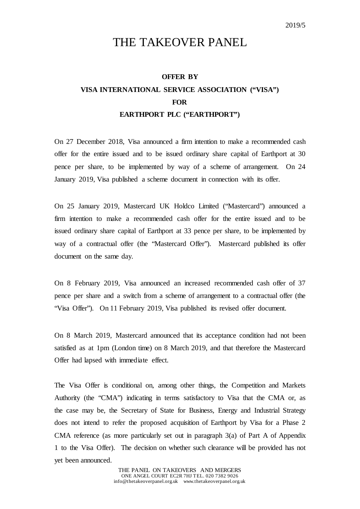## THE TAKEOVER PANEL

## **OFFER BY VISA INTERNATIONAL SERVICE ASSOCIATION ("VISA") FOR EARTHPORT PLC ("EARTHPORT")**

On 27 December 2018, Visa announced a firm intention to make a recommended cash offer for the entire issued and to be issued ordinary share capital of Earthport at 30 pence per share, to be implemented by way of a scheme of arrangement. On 24 January 2019, Visa published a scheme document in connection with its offer.

On 25 January 2019, Mastercard UK Holdco Limited ("Mastercard") announced a firm intention to make a recommended cash offer for the entire issued and to be issued ordinary share capital of Earthport at 33 pence per share, to be implemented by way of a contractual offer (the "Mastercard Offer"). Mastercard published its offer document on the same day.

On 8 February 2019, Visa announced an increased recommended cash offer of 37 pence per share and a switch from a scheme of arrangement to a contractual offer (the "Visa Offer"). On 11 February 2019, Visa published its revised offer document.

On 8 March 2019, Mastercard announced that its acceptance condition had not been satisfied as at 1pm (London time) on 8 March 2019, and that therefore the Mastercard Offer had lapsed with immediate effect.

The Visa Offer is conditional on, among other things, the Competition and Markets Authority (the "CMA") indicating in terms satisfactory to Visa that the CMA or, as the case may be, the Secretary of State for Business, Energy and Industrial Strategy does not intend to refer the proposed acquisition of Earthport by Visa for a Phase 2 CMA reference (as more particularly set out in paragraph 3(a) of Part A of Appendix 1 to the Visa Offer). The decision on whether such clearance will be provided has not yet been announced.